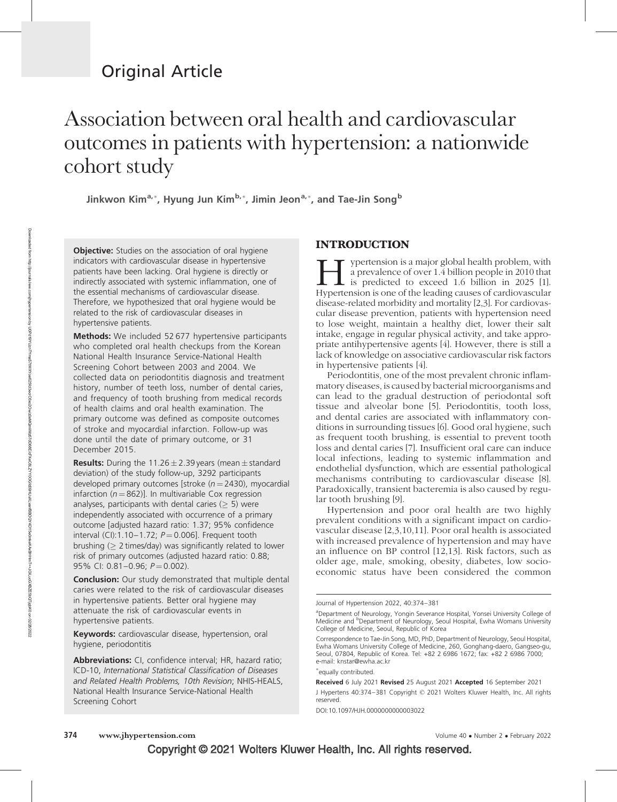## Original Article

# Association between oral health and cardiovascular outcomes in patients with hypertension: a nationwide cohort study

Jinkwon Kim<sup>a,</sup>\*, Hyung Jun Kim<sup>b,</sup>\*, Jimin Jeon<sup>a,</sup>\*, and Tae-Jin Song<sup>b</sup>

**Objective:** Studies on the association of oral hygiene indicators with cardiovascular disease in hypertensive patients have been lacking. Oral hygiene is directly or indirectly associated with systemic inflammation, one of the essential mechanisms of cardiovascular disease. Therefore, we hypothesized that oral hygiene would be related to the risk of cardiovascular diseases in hypertensive patients.

**Methods:** We included 52 677 hypertensive participants who completed oral health checkups from the Korean National Health Insurance Service-National Health Screening Cohort between 2003 and 2004. We collected data on periodontitis diagnosis and treatment history, number of teeth loss, number of dental caries, and frequency of tooth brushing from medical records of health claims and oral health examination. The primary outcome was defined as composite outcomes of stroke and myocardial infarction. Follow-up was done until the date of primary outcome, or 31 December 2015.

**Results:** During the 11.26  $\pm$  2.39 years (mean  $\pm$  standard deviation) of the study follow-up, 3292 participants developed primary outcomes [stroke  $(n = 2430)$ , myocardial infarction ( $n = 862$ )]. In multivariable Cox regression analyses, participants with dental caries  $($  > 5) were independently associated with occurrence of a primary outcome [adjusted hazard ratio: 1.37; 95% confidence interval (CI):1.10–1.72;  $P = 0.006$ ]. Frequent tooth brushing  $($  2 times/day) was significantly related to lower risk of primary outcomes (adjusted hazard ratio: 0.88; 95% CI: 0.81-0.96;  $P = 0.002$ ).

**Conclusion:** Our study demonstrated that multiple dental caries were related to the risk of cardiovascular diseases in hypertensive patients. Better oral hygiene may attenuate the risk of cardiovascular events in hypertensive patients.

Keywords: cardiovascular disease, hypertension, oral hygiene, periodontitis

Abbreviations: CI, confidence interval; HR, hazard ratio; ICD-10, International Statistical Classification of Diseases and Related Health Problems, 10th Revision; NHIS-HEALS, National Health Insurance Service-National Health Screening Cohort

#### INTRODUCTION

ypertension is a major global health problem, with a prevalence of over 1.4 billion people in 2010 that  $\mathsf{\mathsf{L}}$  is predicted to exceed 1.6 billion in 2025 [1]. Hypertension is one of the leading causes of cardiovascular disease-related morbidity and mortality [2,3]. For cardiovascular disease prevention, patients with hypertension need to lose weight, maintain a healthy diet, lower their salt intake, engage in regular physical activity, and take appropriate antihypertensive agents [4]. However, there is still a lack of knowledge on associative cardiovascular risk factors in hypertensive patients [4].

Periodontitis, one of the most prevalent chronic inflammatory diseases, is caused by bacterial microorganisms and can lead to the gradual destruction of periodontal soft tissue and alveolar bone [5]. Periodontitis, tooth loss, and dental caries are associated with inflammatory conditions in surrounding tissues [6]. Good oral hygiene, such as frequent tooth brushing, is essential to prevent tooth loss and dental caries [7]. Insufficient oral care can induce local infections, leading to systemic inflammation and endothelial dysfunction, which are essential pathological mechanisms contributing to cardiovascular disease [8]. Paradoxically, transient bacteremia is also caused by regular tooth brushing [9].

Hypertension and poor oral health are two highly prevalent conditions with a significant impact on cardiovascular disease [2,3,10,11]. Poor oral health is associated with increased prevalence of hypertension and may have an influence on BP control [12,13]. Risk factors, such as older age, male, smoking, obesity, diabetes, low socioeconomic status have been considered the common

- equally contributed.

DOI:10.1097/HJH.0000000000003022

Journal of Hypertension 2022, 40:374–381

<sup>&</sup>lt;sup>a</sup>Department of Neurology, Yongin Severance Hospital, Yonsei University College of Medicine and <sup>b</sup>Department of Neurology, Seoul Hospital, Ewha Womans University College of Medicine, Seoul, Republic of Korea

Correspondence to Tae-Jin Song, MD, PhD, Department of Neurology, Seoul Hospital, Ewha Womans University College of Medicine, 260, Gonghang-daero, Gangseo-gu, Seoul, 07804, Republic of Korea. Tel: +82 2 6986 1672; fax: +82 2 6986 7000; e-mail: [knstar@ewha.ac.kr](mailto:knstar@ewha.ac.kr)

Received 6 July 2021 Revised 25 August 2021 Accepted 16 September 2021 J Hypertens 40:374–381 Copyright © 2021 Wolters Kluwer Health, Inc. All rights reserved.

Copyright © 2021 Wolters Kluwer Health, Inc. All rights reserved.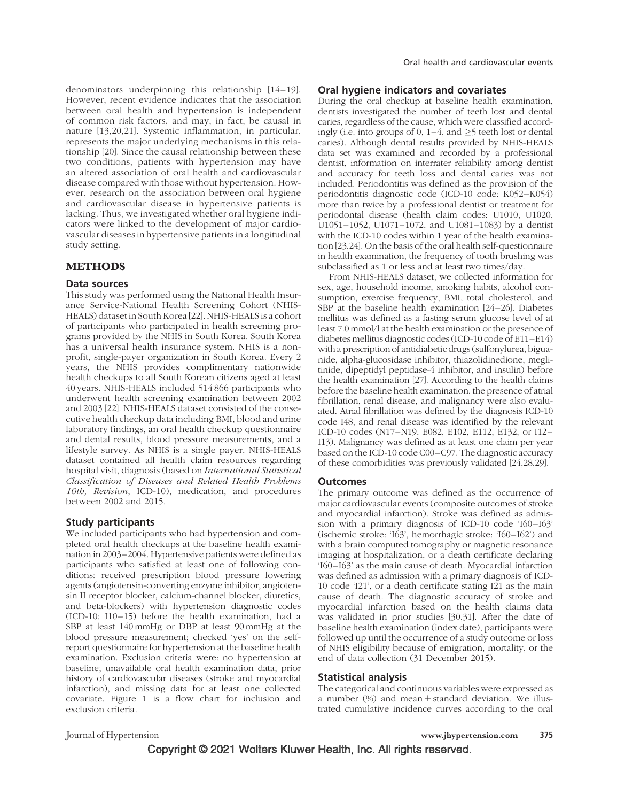denominators underpinning this relationship [14–19]. However, recent evidence indicates that the association between oral health and hypertension is independent of common risk factors, and may, in fact, be causal in nature [13,20,21]. Systemic inflammation, in particular, represents the major underlying mechanisms in this relationship [20]. Since the causal relationship between these two conditions, patients with hypertension may have an altered association of oral health and cardiovascular disease compared with those without hypertension. However, research on the association between oral hygiene and cardiovascular disease in hypertensive patients is lacking. Thus, we investigated whether oral hygiene indicators were linked to the development of major cardiovascular diseases in hypertensive patients in a longitudinal study setting.

#### METHODS

#### Data sources

This study was performed using the National Health Insurance Service-National Health Screening Cohort (NHIS-HEALS) dataset in South Korea [22]. NHIS-HEALS is a cohort of participants who participated in health screening programs provided by the NHIS in South Korea. South Korea has a universal health insurance system. NHIS is a nonprofit, single-payer organization in South Korea. Every 2 years, the NHIS provides complimentary nationwide health checkups to all South Korean citizens aged at least 40 years. NHIS-HEALS included 514 866 participants who underwent health screening examination between 2002 and 2003 [22]. NHIS-HEALS dataset consisted of the consecutive health checkup data including BMI, blood and urine laboratory findings, an oral health checkup questionnaire and dental results, blood pressure measurements, and a lifestyle survey. As NHIS is a single payer, NHIS-HEALS dataset contained all health claim resources regarding hospital visit, diagnosis (based on International Statistical Classification of Diseases and Related Health Problems 10th, Revision, ICD-10), medication, and procedures between 2002 and 2015.

#### Study participants

We included participants who had hypertension and completed oral health checkups at the baseline health examination in 2003–2004. Hypertensive patients were defined as participants who satisfied at least one of following conditions: received prescription blood pressure lowering agents (angiotensin-converting enzyme inhibitor, angiotensin II receptor blocker, calcium-channel blocker, diuretics, and beta-blockers) with hypertension diagnostic codes (ICD-10: I10–15) before the health examination, had a SBP at least 140 mmHg or DBP at least 90 mmHg at the blood pressure measurement; checked 'yes' on the selfreport questionnaire for hypertension at the baseline health examination. Exclusion criteria were: no hypertension at baseline; unavailable oral health examination data; prior history of cardiovascular diseases (stroke and myocardial infarction), and missing data for at least one collected covariate. Figure 1 is a flow chart for inclusion and exclusion criteria.

#### Oral hygiene indicators and covariates

During the oral checkup at baseline health examination, dentists investigated the number of teeth lost and dental caries, regardless of the cause, which were classified accordingly (i.e. into groups of 0,  $1-4$ , and  $\geq 5$  teeth lost or dental caries). Although dental results provided by NHIS-HEALS data set was examined and recorded by a professional dentist, information on interrater reliability among dentist and accuracy for teeth loss and dental caries was not included. Periodontitis was defined as the provision of the periodontitis diagnostic code (ICD-10 code: K052–K054) more than twice by a professional dentist or treatment for periodontal disease (health claim codes: U1010, U1020, U1051–1052, U1071–1072, and U1081–1083) by a dentist with the ICD-10 codes within 1 year of the health examination [23,24]. On the basis of the oral health self-questionnaire in health examination, the frequency of tooth brushing was subclassified as 1 or less and at least two times/day.

From NHIS-HEALS dataset, we collected information for sex, age, household income, smoking habits, alcohol consumption, exercise frequency, BMI, total cholesterol, and SBP at the baseline health examination [24–26]. Diabetes mellitus was defined as a fasting serum glucose level of at least 7.0 mmol/l at the health examination or the presence of diabetes mellitus diagnostic codes (ICD-10 code of E11–E14) with a prescription of antidiabetic drugs (sulfonylurea, biguanide, alpha-glucosidase inhibitor, thiazolidinedione, meglitinide, dipeptidyl peptidase-4 inhibitor, and insulin) before the health examination [27]. According to the health claims before the baseline health examination, the presence of atrial fibrillation, renal disease, and malignancy were also evaluated. Atrial fibrillation was defined by the diagnosis ICD-10 code I48, and renal disease was identified by the relevant ICD-10 codes (N17–N19, E082, E102, E112, E132, or I12– I13). Malignancy was defined as at least one claim per year based on the ICD-10 code C00–C97. The diagnostic accuracy of these comorbidities was previously validated [24,28,29].

#### **Outcomes**

The primary outcome was defined as the occurrence of major cardiovascular events (composite outcomes of stroke and myocardial infarction). Stroke was defined as admission with a primary diagnosis of ICD-10 code 'I60–I63' (ischemic stroke: 'I63', hemorrhagic stroke: 'I60– I62') and with a brain computed tomography or magnetic resonance imaging at hospitalization, or a death certificate declaring 'I60– I63' as the main cause of death. Myocardial infarction was defined as admission with a primary diagnosis of ICD-10 code 'I21', or a death certificate stating I21 as the main cause of death. The diagnostic accuracy of stroke and myocardial infarction based on the health claims data was validated in prior studies [30,31]. After the date of baseline health examination (index date), participants were followed up until the occurrence of a study outcome or loss of NHIS eligibility because of emigration, mortality, or the end of data collection (31 December 2015).

#### Statistical analysis

The categorical and continuous variables were expressed as a number  $(\%)$  and mean  $\pm$  standard deviation. We illustrated cumulative incidence curves according to the oral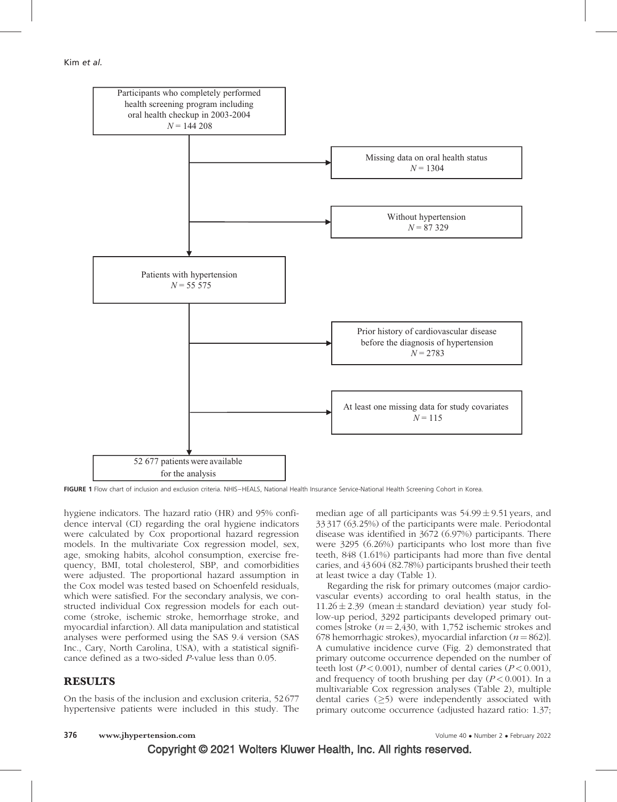

FIGURE 1 Flow chart of inclusion and exclusion criteria. NHIS-HEALS, National Health Insurance Service-National Health Screening Cohort in Korea.

hygiene indicators. The hazard ratio (HR) and 95% confidence interval (CI) regarding the oral hygiene indicators were calculated by Cox proportional hazard regression models. In the multivariate Cox regression model, sex, age, smoking habits, alcohol consumption, exercise frequency, BMI, total cholesterol, SBP, and comorbidities were adjusted. The proportional hazard assumption in the Cox model was tested based on Schoenfeld residuals, which were satisfied. For the secondary analysis, we constructed individual Cox regression models for each outcome (stroke, ischemic stroke, hemorrhage stroke, and myocardial infarction). All data manipulation and statistical analyses were performed using the SAS 9.4 version (SAS Inc., Cary, North Carolina, USA), with a statistical significance defined as a two-sided P-value less than 0.05.

#### RESULTS

On the basis of the inclusion and exclusion criteria, 52 677 hypertensive patients were included in this study. The median age of all participants was  $54.99 \pm 9.51$  years, and 33 317 (63.25%) of the participants were male. Periodontal disease was identified in 3672 (6.97%) participants. There were 3295 (6.26%) participants who lost more than five teeth, 848 (1.61%) participants had more than five dental caries, and 43 604 (82.78%) participants brushed their teeth at least twice a day (Table 1).

Regarding the risk for primary outcomes (major cardiovascular events) according to oral health status, in the 11.26  $\pm$  2.39 (mean  $\pm$  standard deviation) year study follow-up period, 3292 participants developed primary outcomes [stroke  $(n = 2,430, \text{ with } 1,752 \text{ ischemic strokes and})$ 678 hemorrhagic strokes), myocardial infarction ( $n = 862$ ). A cumulative incidence curve (Fig. 2) demonstrated that primary outcome occurrence depended on the number of teeth lost ( $P < 0.001$ ), number of dental caries ( $P < 0.001$ ), and frequency of tooth brushing per day  $(P < 0.001)$ . In a multivariable Cox regression analyses (Table 2), multiple dental caries  $(>\,5)$  were independently associated with primary outcome occurrence (adjusted hazard ratio: 1.37;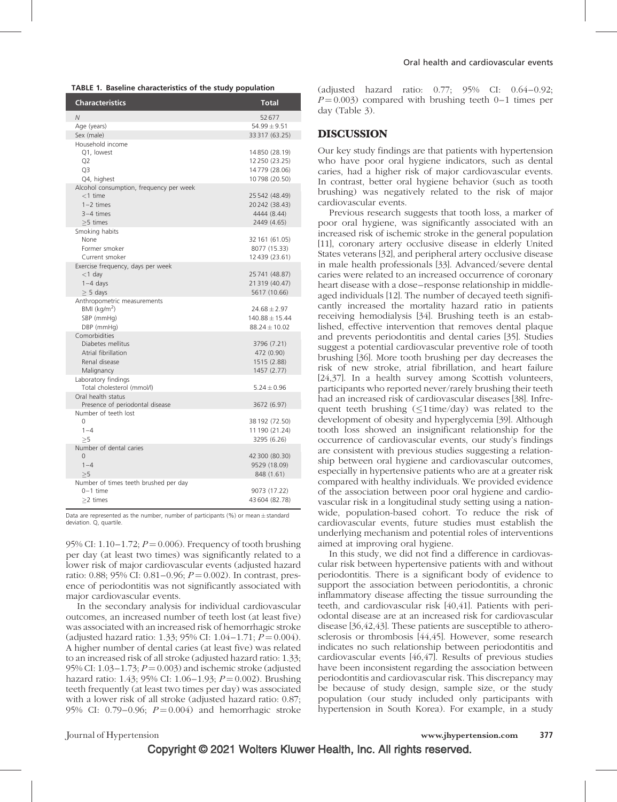| TABLE 1. Baseline characteristics of the study population |  |
|-----------------------------------------------------------|--|
|-----------------------------------------------------------|--|

| <b>Characteristics</b>                                                                            | Total                                                             |
|---------------------------------------------------------------------------------------------------|-------------------------------------------------------------------|
| $\overline{N}$                                                                                    | 52677                                                             |
| Age (years)                                                                                       | $54.99 \pm 9.51$                                                  |
| Sex (male)                                                                                        | 33 317 (63.25)                                                    |
| Household income<br>O1. lowest<br>Q <sub>2</sub><br>Q3<br>Q4, highest                             | 14850 (28.19)<br>12 250 (23.25)<br>14779 (28.06)<br>10798 (20.50) |
| Alcohol consumption, frequency per week<br>$<$ 1 time<br>$1-2$ times<br>$3-4$ times<br>$>5$ times | 25 542 (48.49)<br>20242 (38.43)<br>4444 (8.44)<br>2449 (4.65)     |
| Smoking habits<br>None<br>Former smoker<br>Current smoker                                         | 32 161 (61.05)<br>8077 (15.33)<br>12439 (23.61)                   |
| Exercise frequency, days per week<br>$<$ 1 day<br>$1-4$ days<br>$\geq$ 5 days                     | 25741 (48.87)<br>21319 (40.47)<br>5617 (10.66)                    |
| Anthropometric measurements<br>BMI (kg/m <sup>2</sup> )<br>SBP (mmHg)<br>DBP (mmHg)               | $24.68 \pm 2.97$<br>$140.88 \pm 15.44$<br>$88.24 + 10.02$         |
| Comorbidities<br>Diabetes mellitus<br>Atrial fibrillation<br>Renal disease<br>Malignancy          | 3796 (7.21)<br>472 (0.90)<br>1515 (2.88)<br>1457 (2.77)           |
| Laboratory findings<br>Total cholesterol (mmol/l)                                                 | $5.24 \pm 0.96$                                                   |
| Oral health status<br>Presence of periodontal disease                                             | 3672 (6.97)                                                       |
| Number of teeth lost<br>0<br>$1 - 4$<br>>5                                                        | 38 192 (72.50)<br>11 190 (21.24)<br>3295 (6.26)                   |
| Number of dental caries<br>$\Omega$<br>$1 - 4$<br>>5                                              | 42 300 (80.30)<br>9529 (18.09)<br>848 (1.61)                      |
| Number of times teeth brushed per day<br>$0-1$ time<br>$>2$ times                                 | 9073 (17.22)<br>43 604 (82.78)                                    |

Data are represented as the number, number of participants (%) or mean  $\pm$  standard deviation. O, quartile.

95% CI: 1.10–1.72;  $P = 0.006$ ). Frequency of tooth brushing per day (at least two times) was significantly related to a lower risk of major cardiovascular events (adjusted hazard ratio: 0.88; 95% CI: 0.81–0.96;  $P = 0.002$ ). In contrast, presence of periodontitis was not significantly associated with major cardiovascular events.

In the secondary analysis for individual cardiovascular outcomes, an increased number of teeth lost (at least five) was associated with an increased risk of hemorrhagic stroke (adjusted hazard ratio: 1.33; 95% CI: 1.04–1.71;  $P = 0.004$ ). A higher number of dental caries (at least five) was related to an increased risk of all stroke (adjusted hazard ratio: 1.33; 95% CI: 1.03–1.73;  $P = 0.003$ ) and ischemic stroke (adjusted hazard ratio: 1.43; 95% CI: 1.06–1.93;  $P = 0.002$ ). Brushing teeth frequently (at least two times per day) was associated with a lower risk of all stroke (adjusted hazard ratio: 0.87; 95% CI: 0.79–0.96;  $P = 0.004$ ) and hemorrhagic stroke

(adjusted hazard ratio: 0.77; 95% CI: 0.64–0.92;  $P = 0.003$ ) compared with brushing teeth 0–1 times per day (Table 3).

#### DISCUSSION

Our key study findings are that patients with hypertension who have poor oral hygiene indicators, such as dental caries, had a higher risk of major cardiovascular events. In contrast, better oral hygiene behavior (such as tooth brushing) was negatively related to the risk of major cardiovascular events.

Previous research suggests that tooth loss, a marker of poor oral hygiene, was significantly associated with an increased risk of ischemic stroke in the general population [11], coronary artery occlusive disease in elderly United States veterans [32], and peripheral artery occlusive disease in male health professionals [33]. Advanced/severe dental caries were related to an increased occurrence of coronary heart disease with a dose–response relationship in middleaged individuals [12]. The number of decayed teeth significantly increased the mortality hazard ratio in patients receiving hemodialysis [34]. Brushing teeth is an established, effective intervention that removes dental plaque and prevents periodontitis and dental caries [35]. Studies suggest a potential cardiovascular preventive role of tooth brushing [36]. More tooth brushing per day decreases the risk of new stroke, atrial fibrillation, and heart failure [24,37]. In a health survey among Scottish volunteers, participants who reported never/rarely brushing their teeth had an increased risk of cardiovascular diseases [38]. Infrequent teeth brushing  $(\leq 1$  time/day) was related to the development of obesity and hyperglycemia [39]. Although tooth loss showed an insignificant relationship for the occurrence of cardiovascular events, our study's findings are consistent with previous studies suggesting a relationship between oral hygiene and cardiovascular outcomes, especially in hypertensive patients who are at a greater risk compared with healthy individuals. We provided evidence of the association between poor oral hygiene and cardiovascular risk in a longitudinal study setting using a nationwide, population-based cohort. To reduce the risk of cardiovascular events, future studies must establish the underlying mechanism and potential roles of interventions aimed at improving oral hygiene.

In this study, we did not find a difference in cardiovascular risk between hypertensive patients with and without periodontitis. There is a significant body of evidence to support the association between periodontitis, a chronic inflammatory disease affecting the tissue surrounding the teeth, and cardiovascular risk [40,41]. Patients with periodontal disease are at an increased risk for cardiovascular disease [36,42,43]. These patients are susceptible to atherosclerosis or thrombosis [44,45]. However, some research indicates no such relationship between periodontitis and cardiovascular events [46,47]. Results of previous studies have been inconsistent regarding the association between periodontitis and cardiovascular risk. This discrepancy may be because of study design, sample size, or the study population (our study included only participants with hypertension in South Korea). For example, in a study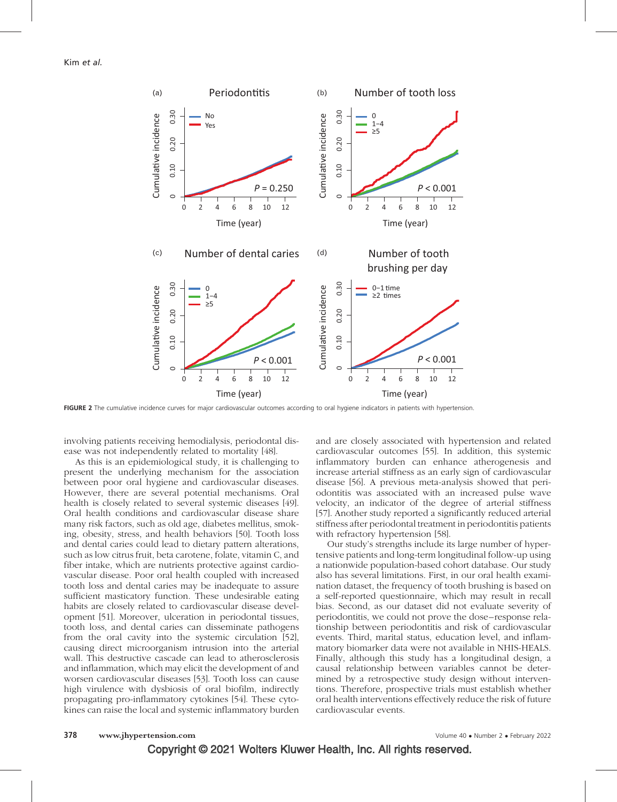

FIGURE 2 The cumulative incidence curves for major cardiovascular outcomes according to oral hygiene indicators in patients with hypertension.

involving patients receiving hemodialysis, periodontal disease was not independently related to mortality [48].

As this is an epidemiological study, it is challenging to present the underlying mechanism for the association between poor oral hygiene and cardiovascular diseases. However, there are several potential mechanisms. Oral health is closely related to several systemic diseases [49]. Oral health conditions and cardiovascular disease share many risk factors, such as old age, diabetes mellitus, smoking, obesity, stress, and health behaviors [50]. Tooth loss and dental caries could lead to dietary pattern alterations, such as low citrus fruit, beta carotene, folate, vitamin C, and fiber intake, which are nutrients protective against cardiovascular disease. Poor oral health coupled with increased tooth loss and dental caries may be inadequate to assure sufficient masticatory function. These undesirable eating habits are closely related to cardiovascular disease development [51]. Moreover, ulceration in periodontal tissues, tooth loss, and dental caries can disseminate pathogens from the oral cavity into the systemic circulation [52], causing direct microorganism intrusion into the arterial wall. This destructive cascade can lead to atherosclerosis and inflammation, which may elicit the development of and worsen cardiovascular diseases [53]. Tooth loss can cause high virulence with dysbiosis of oral biofilm, indirectly propagating pro-inflammatory cytokines [54]. These cytokines can raise the local and systemic inflammatory burden and are closely associated with hypertension and related cardiovascular outcomes [55]. In addition, this systemic inflammatory burden can enhance atherogenesis and increase arterial stiffness as an early sign of cardiovascular disease [56]. A previous meta-analysis showed that periodontitis was associated with an increased pulse wave velocity, an indicator of the degree of arterial stiffness [57]. Another study reported a significantly reduced arterial stiffness after periodontal treatment in periodontitis patients with refractory hypertension [58].

Our study's strengths include its large number of hypertensive patients and long-term longitudinal follow-up using a nationwide population-based cohort database. Our study also has several limitations. First, in our oral health examination dataset, the frequency of tooth brushing is based on a self-reported questionnaire, which may result in recall bias. Second, as our dataset did not evaluate severity of periodontitis, we could not prove the dose– response relationship between periodontitis and risk of cardiovascular events. Third, marital status, education level, and inflammatory biomarker data were not available in NHIS-HEALS. Finally, although this study has a longitudinal design, a causal relationship between variables cannot be determined by a retrospective study design without interventions. Therefore, prospective trials must establish whether oral health interventions effectively reduce the risk of future cardiovascular events.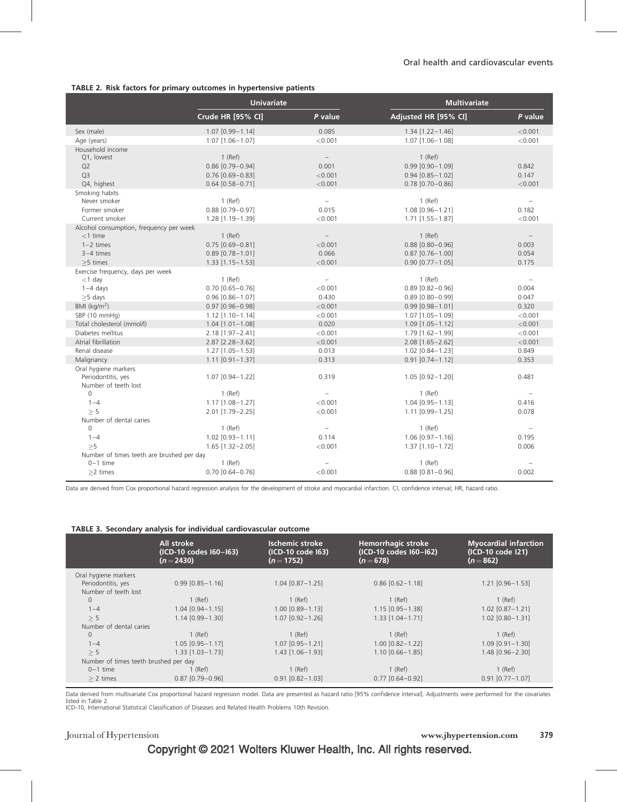#### TABLE 2. Risk factors for primary outcomes in hypertensive patients

|                                           | TABLE 2. Now factors for primary battonies in hypertensive patients<br><b>Univariate</b> |                          | <b>Multivariate</b>    |                          |  |
|-------------------------------------------|------------------------------------------------------------------------------------------|--------------------------|------------------------|--------------------------|--|
|                                           | Crude HR [95% CI]                                                                        | P value                  | Adjusted HR [95% CI]   | P value                  |  |
| Sex (male)                                | $1.07$ $[0.99 - 1.14]$                                                                   | 0.085                    | $1.34$ [1.22-1.46]     | < 0.001                  |  |
| Age (years)                               | $1.07$ [1.06-1.07]                                                                       | < 0.001                  | $1.07$ [1.06-1.08]     | < 0.001                  |  |
| Household income                          |                                                                                          |                          |                        |                          |  |
| Q1, lowest                                | $1$ (Ref)                                                                                |                          | $1$ (Ref)              |                          |  |
| Q <sub>2</sub>                            | $0.86$ [0.79-0.94]                                                                       | 0.001                    | $0.99$ $[0.90 - 1.09]$ | 0.842                    |  |
| Q <sub>3</sub>                            | $0.76$ [0.69-0.83]                                                                       | < 0.001                  | $0.94$ [0.85-1.02]     | 0.147                    |  |
| Q4, highest                               | $0.64$ [0.58-0.71]                                                                       | < 0.001                  | $0.78$ [0.70-0.86]     | < 0.001                  |  |
| Smoking habits                            |                                                                                          |                          |                        |                          |  |
| Never smoker                              | $1$ (Ref)                                                                                | $\qquad \qquad -$        | $1$ (Ref)              |                          |  |
| Former smoker                             | $0.88$ [0.79-0.97]                                                                       | 0.015                    | 1.08 [0.96-1.21]       | 0.182                    |  |
| Current smoker                            | 1.28 [1.19-1.39]                                                                         | < 0.001                  | $1.71$ [1.55-1.87]     | < 0.001                  |  |
| Alcohol consumption, frequency per week   |                                                                                          |                          |                        |                          |  |
| $<$ 1 time                                | $1$ (Ref)                                                                                |                          | $1$ (Ref)              |                          |  |
| $1-2$ times                               | $0.75$ [0.69-0.81]                                                                       | < 0.001                  | $0.88$ [0.80-0.96]     | 0.003                    |  |
| $3-4$ times                               | $0.89$ [0.78-1.01]                                                                       | 0.066                    | $0.87$ [0.76-1.00]     | 0.054                    |  |
| $>5$ times                                | $1.33$ [1.15-1.53]                                                                       | < 0.001                  | $0.90 [0.77 - 1.05]$   | 0.175                    |  |
| Exercise frequency, days per week         |                                                                                          |                          |                        |                          |  |
| $<$ 1 day                                 | $1$ (Ref)                                                                                | $\overline{\phantom{a}}$ | $1$ (Ref)              | $\overline{\phantom{a}}$ |  |
| $1-4$ days                                | $0.70$ [0.65-0.76]                                                                       | < 0.001                  | $0.89$ [0.82-0.96]     | 0.004                    |  |
| $\geq$ 5 days                             | $0.96$ $[0.86 - 1.07]$                                                                   | 0.430                    | $0.89$ $[0.80 - 0.99]$ | 0.047                    |  |
| BMI $(kq/m2)$                             | $0.97$ $[0.96 - 0.98]$                                                                   | < 0.001                  | $0.99$ [0.98-1.01]     | 0.320                    |  |
| SBP (10 mmHg)                             | $1.12$ [1.10-1.14]                                                                       | < 0.001                  | 1.07 [1.05-1.09]       | < 0.001                  |  |
| Total cholesterol (mmol/l)                | $1.04$ $[1.01 - 1.08]$                                                                   | 0.020                    | $1.09$ [1.05-1.12]     | < 0.001                  |  |
| Diabetes mellitus                         | 2.18 [1.97-2.41]                                                                         | < 0.001                  | 1.79 [1.62-1.99]       | < 0.001                  |  |
| Atrial fibrillation                       | $2.87$ [ $2.28 - 3.62$ ]                                                                 | < 0.001                  | 2.08 [1.65-2.62]       | < 0.001                  |  |
| Renal disease                             | $1.27$ [1.05-1.53]                                                                       | 0.013                    | $1.02$ $[0.84 - 1.23]$ | 0.849                    |  |
| Malignancy                                | $1.11$ [0.91-1.37]                                                                       | 0.313                    | $0.91$ [0.74-1.12]     | 0.353                    |  |
| Oral hygiene markers                      |                                                                                          |                          |                        |                          |  |
| Periodontitis, yes                        | $1.07$ [0.94-1.22]                                                                       | 0.319                    | $1.05$ [0.92-1.20]     | 0.481                    |  |
| Number of teeth lost                      |                                                                                          |                          |                        |                          |  |
| 0                                         | $1$ (Ref)                                                                                | $\overline{\phantom{a}}$ | $1$ (Ref)              | $\overline{\phantom{a}}$ |  |
| $1 - 4$                                   | $1.17$ [1.08-1.27]                                                                       | < 0.001                  | $1.04$ [0.95 - 1.13]   | 0.416                    |  |
| > 5                                       | 2.01 [1.79-2.25]                                                                         | < 0.001                  | 1.11 [0.99-1.25]       | 0.078                    |  |
| Number of dental caries                   |                                                                                          |                          |                        |                          |  |
| $\Omega$                                  | $1$ (Ref)                                                                                | $\overline{\phantom{a}}$ | $1$ (Ref)              | $\overline{\phantom{a}}$ |  |
| $1 - 4$                                   | $1.02$ [0.93-1.11]                                                                       | 0.114                    | $1.06$ $[0.97 - 1.16]$ | 0.195                    |  |
| >5                                        | $1.65$ [1.32-2.05]                                                                       | < 0.001                  | $1.37$ [1.10-1.72]     | 0.006                    |  |
| Number of times teeth are brushed per day |                                                                                          |                          |                        |                          |  |
| $0-1$ time                                | $1$ (Ref)                                                                                |                          | $1$ (Ref)              |                          |  |
| $\geq$ 2 times                            | $0.70$ [0.64-0.76]                                                                       | < 0.001                  | $0.88$ [0.81-0.96]     | 0.002                    |  |

Data are derived from Cox proportional hazard regression analysis for the development of stroke and myocardial infarction. CI, confidence interval; HR, hazard ratio.

|  |  |  |  |  | TABLE 3. Secondary analysis for individual cardiovascular outcome |  |
|--|--|--|--|--|-------------------------------------------------------------------|--|
|--|--|--|--|--|-------------------------------------------------------------------|--|

|                                       | All stroke<br>(ICD-10 codes I60-I63)<br>$(n=2430)$ | <b>Ischemic stroke</b><br>(ICD-10 code 163)<br>$(n = 1752)$ | <b>Hemorrhagic stroke</b><br>(ICD-10 codes I60-I62)<br>$(n = 678)$ | <b>Myocardial infarction</b><br>(ICD-10 code I21)<br>$(n=862)$ |  |  |  |
|---------------------------------------|----------------------------------------------------|-------------------------------------------------------------|--------------------------------------------------------------------|----------------------------------------------------------------|--|--|--|
| Oral hygiene markers                  |                                                    |                                                             |                                                                    |                                                                |  |  |  |
| Periodontitis, yes                    | $0.99$ $[0.85 - 1.16]$                             | $1.04$ [0.87-1.25]                                          | $0.86$ $[0.62 - 1.18]$                                             | $1.21$ $[0.96 - 1.53]$                                         |  |  |  |
| Number of teeth lost                  |                                                    |                                                             |                                                                    |                                                                |  |  |  |
| $\mathbf{0}$                          | $1$ (Ref)                                          | $1$ (Ref)                                                   | $1$ (Ref)                                                          | $1$ (Ref)                                                      |  |  |  |
| $1 - 4$                               | $1.04$ [0.94 - 1.15]                               | $1.00$ $[0.89 - 1.13]$                                      | $1.15$ $[0.95 - 1.38]$                                             | $1.02$ $[0.87 - 1.21]$                                         |  |  |  |
| > 5                                   | 1.14 [0.99-1.30]                                   | $1.07$ $[0.92 - 1.26]$                                      | $1.33$ $[1.04 - 1.71]$                                             | $1.02$ [0.80-1.31]                                             |  |  |  |
| Number of dental caries               |                                                    |                                                             |                                                                    |                                                                |  |  |  |
| $\mathbf{0}$                          | $1$ (Ref)                                          | $1$ (Ref)                                                   | $1$ (Ref)                                                          | $1$ (Ref)                                                      |  |  |  |
| $1 - 4$                               | $1.05$ $[0.95 - 1.17]$                             | $1.07$ [0.95 - 1.21]                                        | $1.00$ $[0.82 - 1.22]$                                             | $1.09$ $[0.91 - 1.30]$                                         |  |  |  |
| > 5                                   | $1.33$ $[1.03 - 1.73]$                             | $1.43$ [1.06 - 1.93]                                        | $1.10$ $[0.66 - 1.85]$                                             | 1.48 [0.96-2.30]                                               |  |  |  |
| Number of times teeth brushed per day |                                                    |                                                             |                                                                    |                                                                |  |  |  |
| $0-1$ time                            | 1 (Ref)                                            | $1$ (Ref)                                                   | $1$ (Ref)                                                          | $1$ (Ref)                                                      |  |  |  |
| $> 2$ times                           | $0.87$ [0.79-0.96]                                 | $0.91$ [0.82 - 1.03]                                        | $0.77$ $[0.64 - 0.92]$                                             | $0.91$ $[0.77 - 1.07]$                                         |  |  |  |
|                                       |                                                    |                                                             |                                                                    |                                                                |  |  |  |

Data derived from multivariate Cox proportional hazard regression model. Data are presented as hazard ratio [95% confidence interval]. Adjustments were performed for the covariates listed in Table 2. ICD-10, International Statistical Classification of Diseases and Related Health Problems 10th Revision.

### Copyright © 2021 Wolters Kluwer Health, Inc. All rights reserved.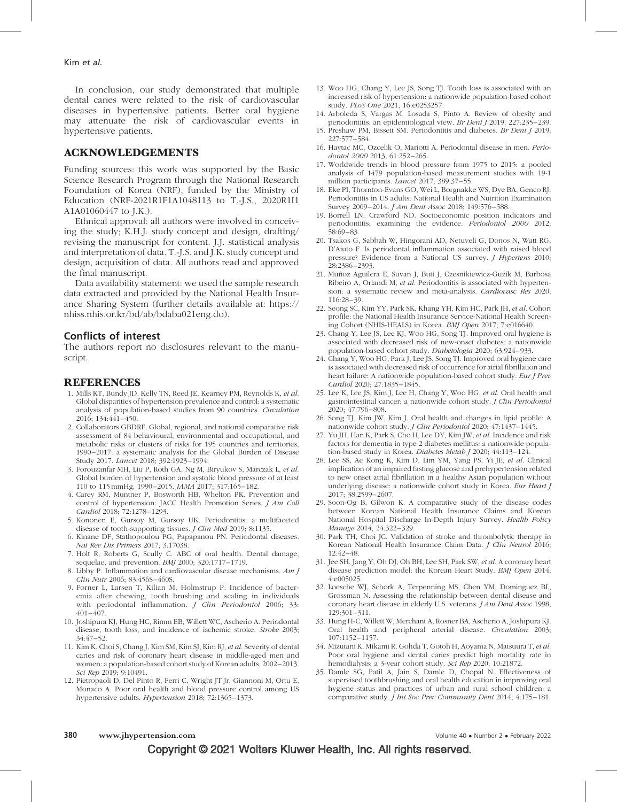In conclusion, our study demonstrated that multiple dental caries were related to the risk of cardiovascular diseases in hypertensive patients. Better oral hygiene may attenuate the risk of cardiovascular events in hypertensive patients.

#### ACKNOWLEDGEMENTS

Funding sources: this work was supported by the Basic Science Research Program through the National Research Foundation of Korea (NRF), funded by the Ministry of Education (NRF-2021R1F1A1048113 to T.-J.S., 2020R1I1 A1A01060447 to J.K.).

Ethnical approval: all authors were involved in conceiving the study; K.H.J. study concept and design, drafting/ revising the manuscript for content. J.J. statistical analysis and interpretation of data. T.-J.S. and J.K. study concept and design, acquisition of data. All authors read and approved the final manuscript.

Data availability statement: we used the sample research data extracted and provided by the National Health Insurance Sharing System (further details available at: [https://](https://nhiss.nhis.or.kr/bd/ab/bdaba021eng.do) [nhiss.nhis.or.kr/bd/ab/bdaba021eng.do\)](https://nhiss.nhis.or.kr/bd/ab/bdaba021eng.do).

#### Conflicts of interest

The authors report no disclosures relevant to the manuscript.

#### REFERENCES

- 1. Mills KT, Bundy JD, Kelly TN, Reed JE, Kearney PM, Reynolds K, et al. Global disparities of hypertension prevalence and control: a systematic analysis of population-based studies from 90 countries. Circulation 2016; 134:441–450.
- 2. Collaborators GBDRF. Global, regional, and national comparative risk assessment of 84 behavioural, environmental and occupational, and metabolic risks or clusters of risks for 195 countries and territories, 1990–2017: a systematic analysis for the Global Burden of Disease Study 2017. Lancet 2018; 392:1923–1994.
- 3. Forouzanfar MH, Liu P, Roth GA, Ng M, Biryukov S, Marczak L, et al. Global burden of hypertension and systolic blood pressure of at least 110 to 115 mmHg, 1990–2015. JAMA 2017; 317:165–182.
- 4. Carey RM, Muntner P, Bosworth HB, Whelton PK. Prevention and control of hypertension: JACC Health Promotion Series. J Am Coll Cardiol 2018; 72:1278–1293.
- 5. Kononen E, Gursoy M, Gursoy UK. Periodontitis: a multifaceted disease of tooth-supporting tissues. *J Clin Med* 2019; 8:1135.
- 6. Kinane DF, Stathopoulou PG, Papapanou PN. Periodontal diseases. Nat Rev Dis Primers 2017; 3:17038.
- 7. Holt R, Roberts G, Scully C. ABC of oral health. Dental damage, sequelae, and prevention. BMJ 2000; 320:1717–1719.
- 8. Libby P. Inflammation and cardiovascular disease mechanisms. Am J Clin Nutr 2006; 83:456S–460S.
- 9. Forner L, Larsen T, Kilian M, Holmstrup P. Incidence of bacteremia after chewing, tooth brushing and scaling in individuals with periodontal inflammation. *J Clin Periodontol* 2006; 33: 401–407.
- 10. Joshipura KJ, Hung HC, Rimm EB, Willett WC, Ascherio A. Periodontal disease, tooth loss, and incidence of ischemic stroke. Stroke 2003; 34:47–52.
- 11. Kim K, Choi S, Chang J, Kim SM, Kim SJ, Kim RJ, et al. Severity of dental caries and risk of coronary heart disease in middle-aged men and women: a population-based cohort study of Korean adults, 2002–2013. Sci Rep 2019; 9:10491.
- 12. Pietropaoli D, Del Pinto R, Ferri C, Wright JT Jr, Giannoni M, Ortu E, Monaco A. Poor oral health and blood pressure control among US hypertensive adults. Hypertension 2018; 72:1365–1373.
- 13. Woo HG, Chang Y, Lee JS, Song TJ. Tooth loss is associated with an increased risk of hypertension: a nationwide population-based cohort study. PLoS One 2021; 16:e0253257.
- 14. Arboleda S, Vargas M, Losada S, Pinto A. Review of obesity and periodontitis: an epidemiological view. Br Dent J 2019; 227:235–239.
- 15. Preshaw PM, Bissett SM. Periodontitis and diabetes. Br Dent J 2019; 227:577–584.
- 16. Haytac MC, Ozcelik O, Mariotti A. Periodontal disease in men. Periodontol 2000 2013; 61:252–265.
- 17. Worldwide trends in blood pressure from 1975 to 2015: a pooled analysis of 1479 population-based measurement studies with 191 million participants. Lancet 2017; 389:37–55.
- 18. Eke PI, Thornton-Evans GO, Wei L, Borgnakke WS, Dye BA, Genco RJ. Periodontitis in US adults: National Health and Nutrition Examination Survey 2009–2014. J Am Dent Assoc 2018; 149:576–588.
- 19. Borrell LN, Crawford ND. Socioeconomic position indicators and periodontitis: examining the evidence. Periodontol 2000 2012; 58:69–83.
- 20. Tsakos G, Sabbah W, Hingorani AD, Netuveli G, Donos N, Watt RG, D'Aiuto F. Is periodontal inflammation associated with raised blood pressure? Evidence from a National US survey. *J Hypertens* 2010; 28:2386–2393.
- 21. Muñoz Aguilera E, Suvan J, Buti J, Czesnikiewicz-Guzik M, Barbosa Ribeiro A, Orlandi M, et al. Periodontitis is associated with hypertension: a systematic review and meta-analysis. Cardiovasc Res 2020; 116:28–39.
- 22. Seong SC, Kim YY, Park SK, Khang YH, Kim HC, Park JH, et al. Cohort profile: the National Health Insurance Service-National Health Screening Cohort (NHIS-HEALS) in Korea. BMJ Open 2017; 7:e016640.
- 23. Chang Y, Lee JS, Lee KJ, Woo HG, Song TJ. Improved oral hygiene is associated with decreased risk of new-onset diabetes: a nationwide population-based cohort study. Diabetologia 2020; 63:924–933.
- 24. Chang Y, Woo HG, Park J, Lee JS, Song TJ. Improved oral hygiene care is associated with decreased risk of occurrence for atrial fibrillation and heart failure: A nationwide population-based cohort study. Eur J Prev Cardiol 2020; 27:1835–1845.
- 25. Lee K, Lee JS, Kim J, Lee H, Chang Y, Woo HG, et al. Oral health and gastrointestinal cancer: a nationwide cohort study. J Clin Periodontol 2020; 47:796–808.
- 26. Song TJ, Kim JW, Kim J. Oral health and changes in lipid profile: A nationwide cohort study. J Clin Periodontol 2020; 47:1437–1445.
- Yu JH, Han K, Park S, Cho H, Lee DY, Kim JW, et al. Incidence and risk factors for dementia in type 2 diabetes mellitus: a nationwide population-based study in Korea. Diabetes Metab J 2020; 44:113–124.
- 28. Lee SS, Ae Kong K, Kim D, Lim YM, Yang PS, Yi JE, et al. Clinical implication of an impaired fasting glucose and prehypertension related to new onset atrial fibrillation in a healthy Asian population without underlying disease: a nationwide cohort study in Korea. Eur Heart J 2017; 38:2599–2607.
- 29. Soon-Og B, Gilwon K. A comparative study of the disease codes between Korean National Health Insurance Claims and Korean National Hospital Discharge In-Depth Injury Survey. Health Policy Manage 2014; 24:322–329.
- 30. Park TH, Choi JC. Validation of stroke and thrombolytic therapy in Korean National Health Insurance Claim Data. J Clin Neurol 2016; 12:42–48.
- 31. Jee SH, Jang Y, Oh DJ, Oh BH, Lee SH, Park SW, et al. A coronary heart disease prediction model: the Korean Heart Study. BMJ Open 2014; 4:e005025.
- 32. Loesche WJ, Schork A, Terpenning MS, Chen YM, Dominguez BL, Grossman N. Assessing the relationship between dental disease and coronary heart disease in elderly U.S. veterans. J Am Dent Assoc 1998; 129:301–311.
- 33. Hung H-C, Willett W, Merchant A, Rosner BA, Ascherio A, Joshipura KJ. Oral health and peripheral arterial disease. Circulation 2003; 107:1152–1157.
- 34. Mizutani K, Mikami R, Gohda T, Gotoh H, Aoyama N, Matsuura T, et al. Poor oral hygiene and dental caries predict high mortality rate in hemodialysis: a 3-year cohort study. Sci Rep 2020; 10:21872.
- 35. Damle SG, Patil A, Jain S, Damle D, Chopal N. Effectiveness of supervised toothbrushing and oral health education in improving oral hygiene status and practices of urban and rural school children: a comparative study. J Int Soc Prev Community Dent 2014; 4:175–181.